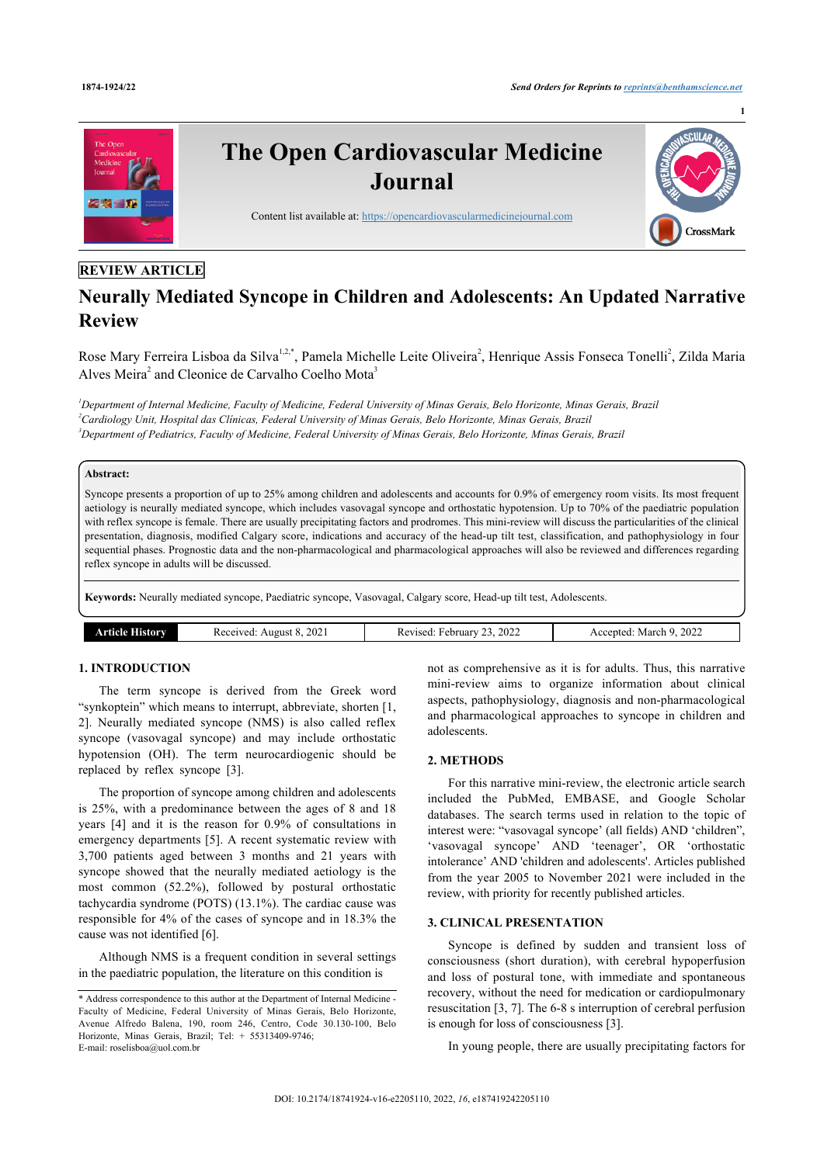

# **REVIEW ARTICLE**

# **Neurally Mediated Syncope in Children and Adolescents: An Updated Narrative Review**

Rose Mary Ferreira Lisboa da Silva<sup>[1](#page-0-0),[2,](#page-0-1)[\\*](#page-0-2)</sup>, Pamela Michelle Leite Oliveira<sup>[2](#page-0-1)</sup>, Henrique Assis Fonseca Tonelli<sup>2</sup>, Zilda Maria Alves Meira<sup>[2](#page-0-1)</sup> and Cleonice de Carvalho Coelho Mota<sup>[3](#page-0-3)</sup>

<span id="page-0-3"></span><span id="page-0-1"></span><span id="page-0-0"></span>*<sup>1</sup>Department of Internal Medicine, Faculty of Medicine, Federal University of Minas Gerais, Belo Horizonte, Minas Gerais, Brazil <sup>2</sup>Cardiology Unit, Hospital das Clínicas, Federal University of Minas Gerais, Belo Horizonte, Minas Gerais, Brazil <sup>3</sup>Department of Pediatrics, Faculty of Medicine, Federal University of Minas Gerais, Belo Horizonte, Minas Gerais, Brazil*

#### **Abstract:**

Syncope presents a proportion of up to 25% among children and adolescents and accounts for 0.9% of emergency room visits. Its most frequent aetiology is neurally mediated syncope, which includes vasovagal syncope and orthostatic hypotension. Up to 70% of the paediatric population with reflex syncope is female. There are usually precipitating factors and prodromes. This mini-review will discuss the particularities of the clinical presentation, diagnosis, modified Calgary score, indications and accuracy of the head-up tilt test, classification, and pathophysiology in four sequential phases. Prognostic data and the non-pharmacological and pharmacological approaches will also be reviewed and differences regarding reflex syncope in adults will be discussed.

**Keywords:** Neurally mediated syncope, Paediatric syncope, Vasovagal, Calgary score, Head-up tilt test, Adolescents.

| ıcle<br><b>THROL</b> | 2021<br>Received:<br>August | , 2022<br>ebruary<br>Revised:<br>رے | 2022<br>March 9<br>Accepted |
|----------------------|-----------------------------|-------------------------------------|-----------------------------|
|                      |                             |                                     |                             |

# **1. INTRODUCTION**

The term syncope is derived from the Greek word "synkoptein" which means to interrupt, abbreviate, shorten [\[1](#page-5-0), [2](#page-5-1)]. Neurally mediated syncope (NMS) is also called reflex syncope (vasovagal syncope) and may include orthostatic hypotension (OH). The term neurocardiogenic should be replaced by reflex syncope[[3](#page-5-2)].

The proportion of syncope among children and adolescents is 25%, with a predominance between the ages of 8 and 18 years [\[4](#page-5-3)] and it is the reason for 0.9% of consultations in emergency departments [\[5\]](#page-5-4). A recent systematic review with 3,700 patients aged between 3 months and 21 years with syncope showed that the neurally mediated aetiology is the most common (52.2%), followed by postural orthostatic tachycardia syndrome (POTS) (13.1%). The cardiac cause was responsible for 4% of the cases of syncope and in 18.3% the cause was not identified [[6](#page-5-5)].

Although NMS is a frequent condition in several settings in the paediatric population, the literature on this condition is

not as comprehensive as it is for adults. Thus, this narrative mini-review aims to organize information about clinical aspects, pathophysiology, diagnosis and non-pharmacological and pharmacological approaches to syncope in children and adolescents.

# **2. METHODS**

For this narrative mini-review, the electronic article search included the PubMed, EMBASE, and Google Scholar databases. The search terms used in relation to the topic of interest were: "vasovagal syncope' (all fields) AND 'children", 'vasovagal syncope' AND 'teenager', OR 'orthostatic intolerance' AND 'children and adolescents'. Articles published from the year 2005 to November 2021 were included in the review, with priority for recently published articles.

### **3. CLINICAL PRESENTATION**

Syncope is defined by sudden and transient loss of consciousness (short duration), with cerebral hypoperfusion and loss of postural tone, with immediate and spontaneous recovery, without the need for medication or cardiopulmonary resuscitation [\[3,](#page-5-2) [7\]](#page-5-6). The 6-8 s interruption of cerebral perfusion is enough for loss of consciousness [[3](#page-5-2)].

In young people, there are usually precipitating factors for

<span id="page-0-2"></span><sup>\*</sup> Address correspondence to this author at the Department of Internal Medicine - Faculty of Medicine, Federal University of Minas Gerais, Belo Horizonte, Avenue Alfredo Balena, 190, room 246, Centro, Code 30.130-100, Belo Horizonte, Minas Gerais, Brazil; Tel: + 55313409-9746; E-mail: [roselisboa@uol.com.br](mailto:roselisboa@uol.com.br)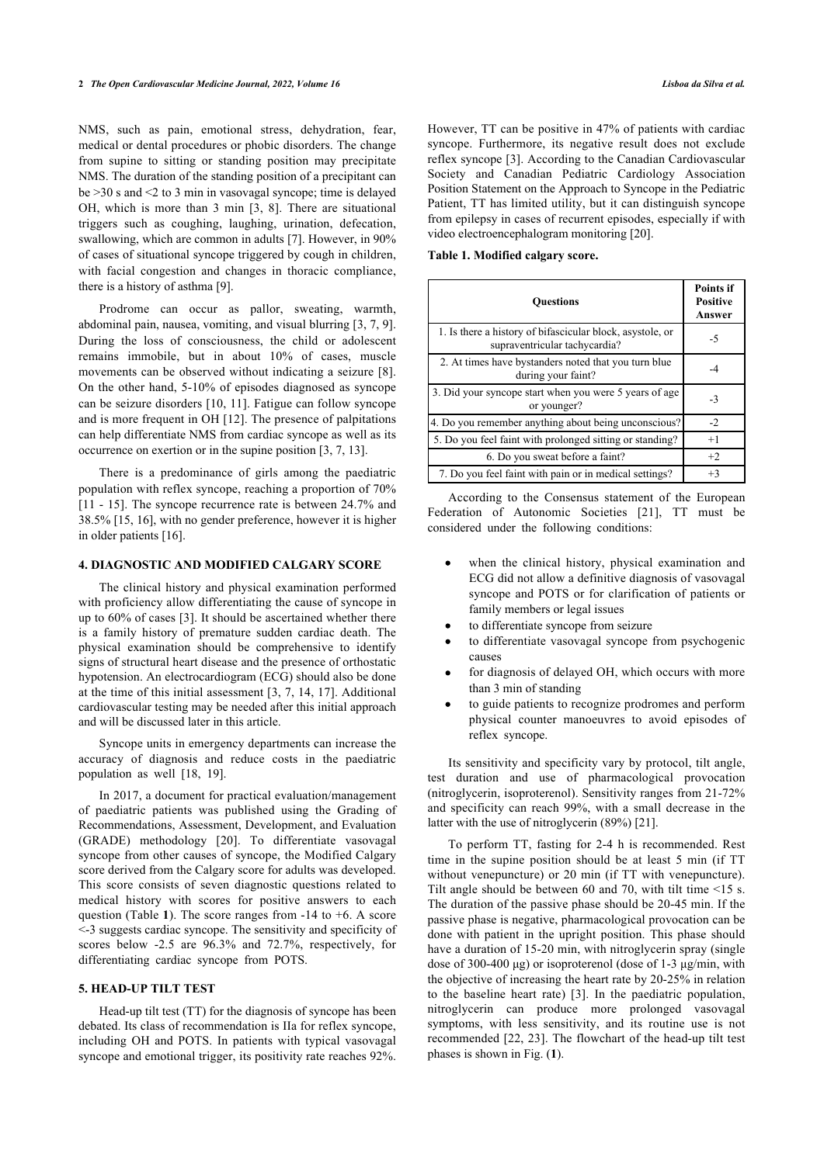NMS, such as pain, emotional stress, dehydration, fear, medical or dental procedures or phobic disorders. The change from supine to sitting or standing position may precipitate NMS. The duration of the standing position of a precipitant can be >30 s and <2 to 3 min in vasovagal syncope; time is delayed OH, which is more than 3 min [\[3,](#page-5-2) [8\]](#page-5-7). There are situational triggers such as coughing, laughing, urination, defecation, swallowing, which are common in adults [[7](#page-5-6)]. However, in 90% of cases of situational syncope triggered by cough in children, with facial congestion and changes in thoracic compliance, there is a history of asthma [\[9\]](#page-5-8).

<span id="page-1-0"></span>Prodrome can occur as pallor, sweating, warmth, abdominal pain, nausea, vomiting, and visual blurring [\[3,](#page-5-2) [7,](#page-5-6) [9](#page-5-8)]. During the loss of consciousness, the child or adolescent remains immobile, but in about 10% of cases, muscle movements can be observed without indicating a seizure [\[8\]](#page-5-7). On the other hand, 5-10% of episodes diagnosed as syncope can be seizure disorders [[10](#page-5-9), [11](#page-5-10)]. Fatigue can follow syncope and is more frequent in OH [\[12\]](#page-5-11). The presence of palpitations can help differentiate NMS from cardiac syncope as well as its occurrence on exertion or in the supine position [[3](#page-5-2), [7](#page-5-6), [13\]](#page-6-0).

There is a predominance of girls among the paediatric population with reflex syncope, reaching a proportion of 70% [[11](#page-5-10) - [15\]](#page-6-1). The syncope recurrence rate is between 24.7% and 38.5% [\[15](#page-6-1), [16\]](#page-6-2), with no gender preference, however it is higher in older patients [[16\]](#page-6-2).

#### **4. DIAGNOSTIC AND MODIFIED CALGARY SCORE**

The clinical history and physical examination performed with proficiency allow differentiating the cause of syncope in up to 60% of cases [[3](#page-5-2)]. It should be ascertained whether there is a family history of premature sudden cardiac death. The physical examination should be comprehensive to identify signs of structural heart disease and the presence of orthostatic hypotension. An electrocardiogram (ECG) should also be done at the time of this initial assessment [\[3,](#page-5-2) [7](#page-5-6), [14,](#page-6-3) [17\]](#page-6-4). Additional cardiovascular testing may be needed after this initial approach and will be discussed later in this article.

Syncope units in emergency departments can increase the accuracy of diagnosis and reduce costs in the paediatric population as well[[18,](#page-6-5) [19](#page-6-6)].

In 2017, a document for practical evaluation/management of paediatric patients was published using the Grading of Recommendations, Assessment, Development, and Evaluation (GRADE) methodology [\[20\]](#page-6-7). To differentiate vasovagal syncope from other causes of syncope, the Modified Calgary score derived from the Calgary score for adults was developed. This score consists of seven diagnostic questions related to medical history with scores for positive answers to each question (Table **[1](#page-1-0)**). The score ranges from -14 to +6. A score <-3 suggests cardiac syncope. The sensitivity and specificity of scores below -2.5 are 96.3% and 72.7%, respectively, for differentiating cardiac syncope from POTS.

#### **5. HEAD-UP TILT TEST**

Head-up tilt test (TT) for the diagnosis of syncope has been debated. Its class of recommendation is IIa for reflex syncope, including OH and POTS. In patients with typical vasovagal syncope and emotional trigger, its positivity rate reaches 92%.

However, TT can be positive in 47% of patients with cardiac syncope. Furthermore, its negative result does not exclude reflex syncope [[3](#page-5-2)]. According to the Canadian Cardiovascular Society and Canadian Pediatric Cardiology Association Position Statement on the Approach to Syncope in the Pediatric Patient, TT has limited utility, but it can distinguish syncope from epilepsy in cases of recurrent episodes, especially if with video electroencephalogram monitoring [\[20](#page-6-7)].

#### **Table 1. Modified calgary score.**

| <b>Ouestions</b>                                                                           | <b>Points if</b><br><b>Positive</b><br>Answer |
|--------------------------------------------------------------------------------------------|-----------------------------------------------|
| 1. Is there a history of bifascicular block, asystole, or<br>supraventricular tachycardia? | -5                                            |
| 2. At times have by standers noted that you turn blue<br>during your faint?                |                                               |
| 3. Did your syncope start when you were 5 years of age<br>or younger?                      | -3                                            |
| 4. Do you remember anything about being unconscious?                                       | $-2$                                          |
| 5. Do you feel faint with prolonged sitting or standing?                                   | $+1$                                          |
| 6. Do you sweat before a faint?                                                            | $+2$                                          |
| 7. Do you feel faint with pain or in medical settings?                                     | $+3$                                          |

According to the Consensus statement of the European Federation of Autonomic Societies[[21](#page-6-8)], TT must be considered under the following conditions:

- when the clinical history, physical examination and ECG did not allow a definitive diagnosis of vasovagal syncope and POTS or for clarification of patients or family members or legal issues
- to differentiate syncope from seizure
- to differentiate vasovagal syncope from psychogenic causes
- for diagnosis of delayed OH, which occurs with more than 3 min of standing
- to guide patients to recognize prodromes and perform physical counter manoeuvres to avoid episodes of reflex syncope.

Its sensitivity and specificity vary by protocol, tilt angle, test duration and use of pharmacological provocation (nitroglycerin, isoproterenol). Sensitivity ranges from 21-72% and specificity can reach 99%, with a small decrease in the latter with the use of nitroglycerin (89%) [[21\]](#page-6-8).

To perform TT, fasting for 2-4 h is recommended. Rest time in the supine position should be at least 5 min (if TT without venepuncture) or 20 min (if TT with venepuncture). Tilt angle should be between 60 and 70, with tilt time <15 s. The duration of the passive phase should be 20-45 min. If the passive phase is negative, pharmacological provocation can be done with patient in the upright position. This phase should have a duration of 15-20 min, with nitroglycerin spray (single dose of 300-400 μg) or isoproterenol (dose of 1-3 μg/min, with the objective of increasing the heart rate by 20-25% in relation to the baseline heart rate)[[3](#page-5-2)]. In the paediatric population, nitroglycerin can produce more prolonged vasovagal symptoms, with less sensitivity, and its routine use is not recommended [\[22](#page-6-9), [23\]](#page-6-10). The flowchart of the head-up tilt test phases is shown in Fig. (**[1](#page-2-0)**).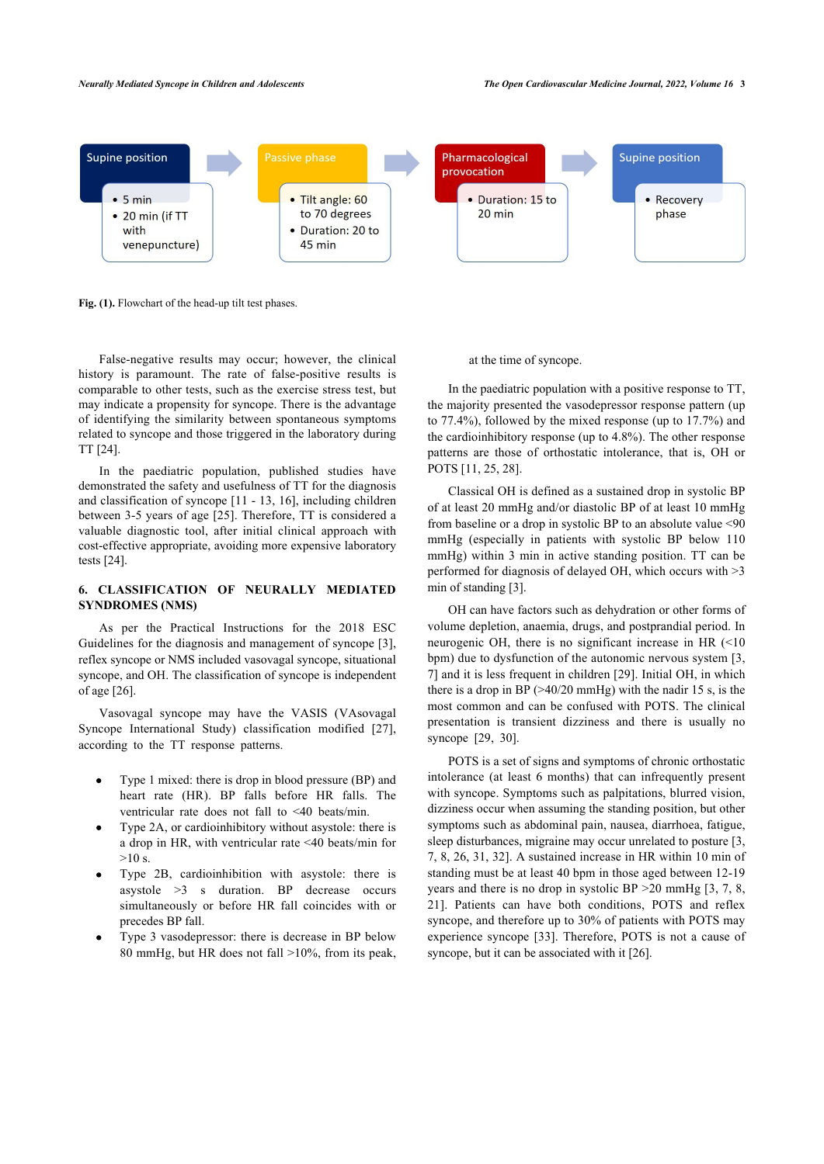<span id="page-2-0"></span>

**Fig. (1).** Flowchart of the head-up tilt test phases.

False-negative results may occur; however, the clinical history is paramount. The rate of false-positive results is comparable to other tests, such as the exercise stress test, but may [in](#page-6-11)dicate a propensity for syncope. There is the advantage of identifying the similarity between spontaneous symptoms related to syncope and those triggered in the laboratory during TT [24].

In the paediatric po[pul](#page-6-12)ation, published studies have demonstrated the safety and usefulness of TT for the diagnosis and classification of syncope [11 - 13, 16], including children betw[een](#page-6-11) 3-5 years of age [25]. Therefore, TT is considered a valuable diagnostic tool, after initial clinical approach with cost-effective appropriate, avoiding more expensive laboratory tests [24].

# **6. CLASSIFICATION OF NEURALLY MEDIAT[ED](#page-5-2) SYNDROMES (NMS)**

As per the Practical Instructions for the 2018 ESC Guidel[ine](#page-6-13)s for the diagnosis and management of syncope [3], reflex syncope or NMS included vasovagal syncope, situational syncope, and OH. The classification of syncope is indepen[den](#page-6-14)t of age [26].

Vasovagal syncope may have the VASIS (VAsovagal Syncope International Study) classification modified [27], according to the TT response patterns.

- Type 1 mixed: there is drop in blood pressure (BP) and heart rate (HR). BP falls before HR falls. The ventricular rate does not fall to <40 beats/min.
- Type 2A, or cardioinhibitory without asystole: there is a drop in HR, with ventricular rate <40 beats/min for  $>10 s$
- Type 2B, cardioinhibition with asystole: there is asystole >3 s duration. BP decrease occurs simultaneously or before HR fall coincides with or precedes BP fall.
- <span id="page-2-1"></span>Type 3 vasodepressor: there is decrease in BP below 80 mmHg, but HR does not fall >10%, from its peak,

#### at the time of syncope.

In the paediatric population with a positive response to TT, the majority presented the vasodepressor response pattern (up to 77.4[%\)](#page-5-10), [fol](#page-6-12)[low](#page-6-15)ed by the mixed response (up to 17.7%) and the cardioinhibitory response (up to 4.8%). The other response patterns are those of orthostatic intolerance, that is, OH or POTS [11, 25, 28].

Classical OH is defined as a sustained drop in systolic BP of at least 20 mmHg and/or diastolic BP of at least 10 mmHg from baseline or a drop in systolic BP to an absolute value <90 mmHg (especia[lly](#page-5-2) in patients with systolic BP below 110 mmHg) within 3 min in active standing position. TT can be performed for diagnosis of delayed OH, which occurs with >3 min of standing [3].

OH can have factors such as dehydration or other forms [of](#page-5-2) [vo](#page-5-6)lume depletion, anaemia, drugs, a[nd p](#page-6-16)ostprandial period. In neurogenic OH, there is no significant increase in HR (<10 bpm) due to dysfunction of the autonomic nervous system [3, 7] and it is less frequent in children [29]. Initial OH, in which there is a [dro](#page-6-16)p [in](#page-6-0) BP  $(>40/20 \text{ mmHg})$  with the nadir 15 s, is the most common and can be confused with POTS. The clinical presentation is transient dizziness and there is usually no syncope [29, 30].

POTS is a set of signs and symptoms of chronic orthostatic intolerance (at least 6 months) that can infrequently prese[n](#page-5-2)t [w](#page-5-6)[ith](#page-5-7) [syn](#page-6-13)[cop](#page-6-3)[e. S](#page-6-1)ymptoms such as palpitations, blurred vision, dizziness occur when assuming the standing position, but other symptoms such as abdominal pain, nausea, diarrhoea, [fa](#page-5-2)t[ig](#page-5-6)[ue](#page-5-7), [sle](#page-6-8)ep disturbances, migraine may occur unrelated to posture [3, 7, 8, 26, 31, 32]. A sustained increase in HR within 10 min of standing must be at l[east](#page-6-2) 40 bpm in those aged between 12-19 years and there is no drop in systolic B[P >](#page-6-13)20 mmHg [3, 7, 8, 21]. Patients can have both conditions, POTS and reflex syncope, and therefore up to 30% of patients with POTS may experience syncope [33]. Therefore, POTS is not a cause of syncope, but it can be associated with it [26].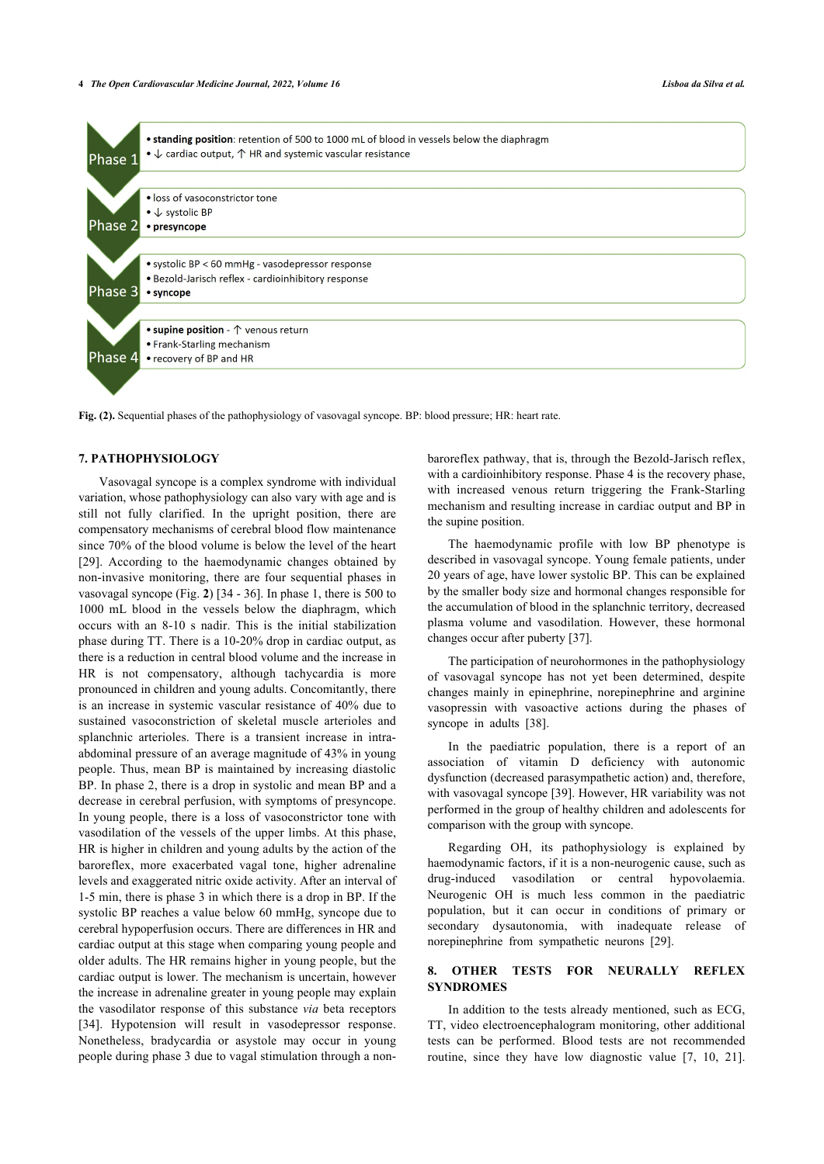

**Fig. (2).** Sequential phases of the pathophysiology of vasovagal syncope. BP: blood pressure; HR: heart rate.

# **7. PATHOPHYSIOLOGY**

Vasovagal syncope is a complex syndrome with individual variation, whose pathophysiology can also vary with age and is still not fully clarified. In the upright position, there are compensatory mechanisms of cerebral blood flow maintenance since 70% of the blood volume is below the level of the heart [[29\]](#page-6-16). According to the haemodynamic changes obtained by non-invasive monitoring, there are four sequential phases in vasovagal syncope (Fig. **[2](#page-2-1)**) [[34](#page-6-4) - [36](#page-6-6)]. In phase 1, there is 500 to 1000 mL blood in the vessels below the diaphragm, which occurs with an 8-10 s nadir. This is the initial stabilization phase during TT. There is a 10-20% drop in cardiac output, as there is a reduction in central blood volume and the increase in HR is not compensatory, although tachycardia is more pronounced in children and young adults. Concomitantly, there is an increase in systemic vascular resistance of 40% due to sustained vasoconstriction of skeletal muscle arterioles and splanchnic arterioles. There is a transient increase in intraabdominal pressure of an average magnitude of 43% in young people. Thus, mean BP is maintained by increasing diastolic BP. In phase 2, there is a drop in systolic and mean BP and a decrease in cerebral perfusion, with symptoms of presyncope. In young people, there is a loss of vasoconstrictor tone with vasodilation of the vessels of the upper limbs. At this phase, HR is higher in children and young adults by the action of the baroreflex, more exacerbated vagal tone, higher adrenaline levels and exaggerated nitric oxide activity. After an interval of 1-5 min, there is phase 3 in which there is a drop in BP. If the systolic BP reaches a value below 60 mmHg, syncope due to cerebral hypoperfusion occurs. There are differences in HR and cardiac output at this stage when comparing young people and older adults. The HR remains higher in young people, but the cardiac output is lower. The mechanism is uncertain, however the increase in adrenaline greater in young people may explain the vasodilator response of this substance *via* beta receptors [[34\]](#page-6-4). Hypotension will result in vasodepressor response. Nonetheless, bradycardia or asystole may occur in young people during phase 3 due to vagal stimulation through a non-

baroreflex pathway, that is, through the Bezold-Jarisch reflex, with a cardioinhibitory response. Phase 4 is the recovery phase, with increased venous return triggering the Frank-Starling mechanism and resulting increase in cardiac output and BP in the supine position.

The haemodynamic profile with low BP phenotype is described in vasovagal syncope. Young female patients, under 20 years of age, have lower systolic BP. This can be explained by the smaller body size and hormonal changes responsible for the accumulation of blood in the splanchnic territory, decreased plasma volume and vasodilation. However, these hormonal changes occur after puberty [[37\]](#page-6-7).

The participation of neurohormones in the pathophysiology of vasovagal syncope has not yet been determined, despite changes mainly in epinephrine, norepinephrine and arginine vasopressin with vasoactive actions during the phases of syncope in adults[[38\]](#page-6-8).

In the paediatric population, there is a report of an association of vitamin D deficiency with autonomic dysfunction (decreased parasympathetic action) and, therefore, with vasovagal syncope [\[39](#page-6-17)]. However, HR variability was not performed in the group of healthy children and adolescents for comparison with the group with syncope.

Regarding OH, its pathophysiology is explained by haemodynamic factors, if it is a non-neurogenic cause, such as drug-induced vasodilation or central hypovolaemia. Neurogenic OH is much less common in the paediatric population, but it can occur in conditions of primary or secondary dysautonomia, with inadequate release of norepinephrine from sympathetic neurons[[29\]](#page-6-16).

# **8. OTHER TESTS FOR NEURALLY REFLEX SYNDROMES**

In addition to the tests already mentioned, such as ECG, TT, video electroencephalogram monitoring, other additional tests can be performed. Blood tests are not recommended routine, since they have low diagnostic value [\[7](#page-5-6), [10](#page-5-9), [21](#page-6-8)].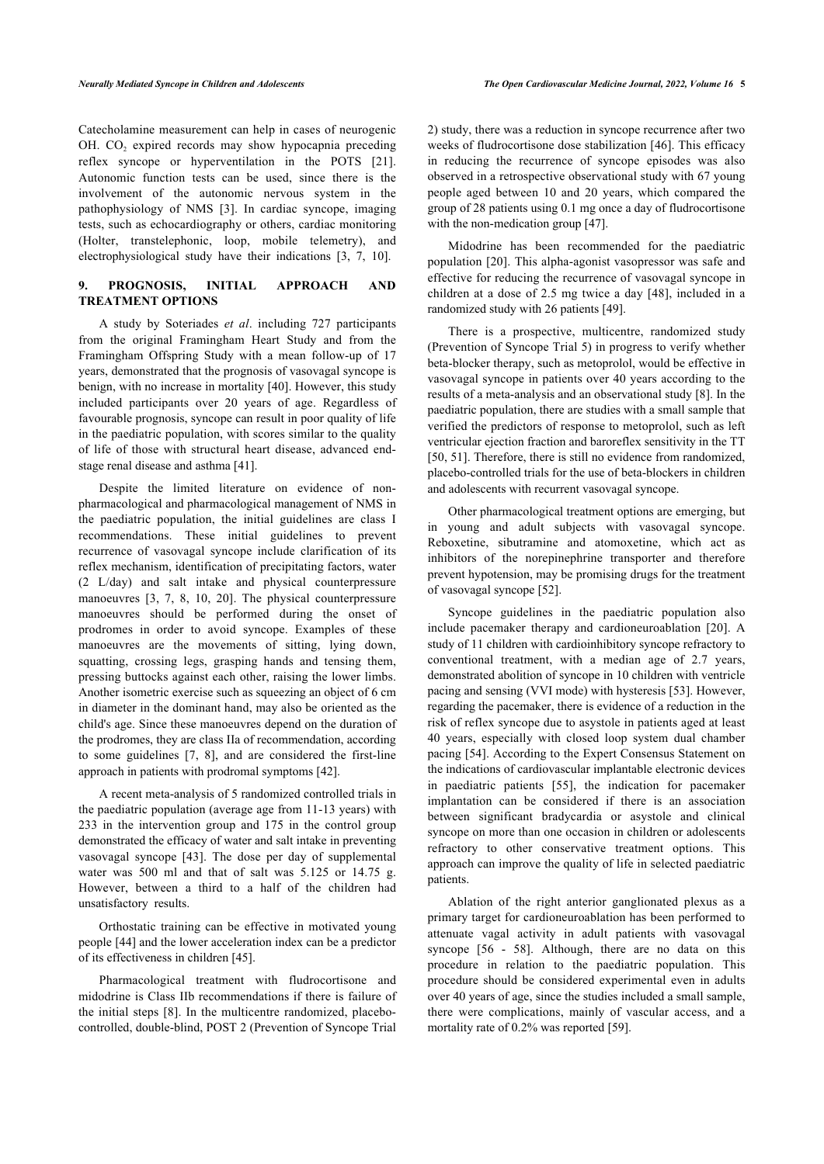Catecholamine measurement can help in cases of neurogenic OH.  $CO<sub>2</sub>$  expired records may show hypocapnia preceding reflex syncope or hyperventilation in the POTS[[21\]](#page-6-8). Autonomic function tests can be used, since there is the involvement of the autonomic nervous system in the pathophysiology of NMS[[3](#page-5-2)]. In cardiac syncope, imaging tests, such as echocardiography or others, cardiac monitoring (Holter, transtelephonic, loop, mobile telemetry), and electrophysiological study have their indications [\[3,](#page-5-2) [7,](#page-5-6) [10](#page-5-9)].

# **9. PROGNOSIS, INITIAL APPROACH AND TREATMENT OPTIONS**

A study by Soteriades *et al*. including 727 participants from the original Framingham Heart Study and from the Framingham Offspring Study with a mean follow-up of 17 years, demonstrated that the prognosis of vasovagal syncope is benign, with no increase in mortality [\[40\]](#page-6-9). However, this study included participants over 20 years of age. Regardless of favourable prognosis, syncope can result in poor quality of life in the paediatric population, with scores similar to the quality of life of those with structural heart disease, advanced endstage renal disease and asthma [[41\]](#page-6-18).

Despite the limited literature on evidence of nonpharmacological and pharmacological management of NMS in the paediatric population, the initial guidelines are class I recommendations. These initial guidelines to prevent recurrence of vasovagal syncope include clarification of its reflex mechanism, identification of precipitating factors, water (2 L/day) and salt intake and physical counterpressure manoeuvres [\[3,](#page-5-2) [7,](#page-5-6) [8,](#page-5-7) [10](#page-5-9), [20\]](#page-6-7). The physical counterpressure manoeuvres should be performed during the onset of prodromes in order to avoid syncope. Examples of these manoeuvres are the movements of sitting, lying down, squatting, crossing legs, grasping hands and tensing them, pressing buttocks against each other, raising the lower limbs. Another isometric exercise such as squeezing an object of 6 cm in diameter in the dominant hand, may also be oriented as the child's age. Since these manoeuvres depend on the duration of the prodromes, they are class IIa of recommendation, according to some guidelines[[7](#page-5-6), [8](#page-5-7)], and are considered the first-line approach in patients with prodromal symptoms [[42\]](#page-6-19).

A recent meta-analysis of 5 randomized controlled trials in the paediatric population (average age from 11-13 years) with 233 in the intervention group and 175 in the control group demonstrated the efficacy of water and salt intake in preventing vasovagal syncope[[43](#page-6-20)]. The dose per day of supplemental water was 500 ml and that of salt was 5.125 or 14.75 g. However, between a third to a half of the children had unsatisfactory results.

Orthostatic training can be effective in motivated young people [\[44](#page-6-21)] and the lower acceleration index can be a predictor of its effectiveness in children [\[45](#page-6-22)].

<span id="page-4-0"></span>Pharmacological treatment with fludrocortisone and midodrine is Class IIb recommendations if there is failure of the initial steps [\[8\]](#page-5-7). In the multicentre randomized, placebocontrolled, double-blind, POST 2 (Prevention of Syncope Trial

2) study, there was a reduction in syncope recurrence after two weeks of fludrocortisone dose stabilization [\[46](#page-6-23)]. This efficacy in reducing the recurrence of syncope episodes was also observed in a retrospective observational study with 67 young people aged between 10 and 20 years, which compared the group of 28 patients using 0.1 mg once a day of fludrocortisone with the non-medication group [\[47](#page-6-15)].

Midodrine has been recommended for the paediatric population [\[20\]](#page-6-7). This alpha-agonist vasopressor was safe and effective for reducing the recurrence of vasovagal syncope in children at a dose of 2.5 mg twice a day [[48](#page-6-16)], included in a randomized study with 26 patients [\[49](#page-7-0)].

There is a prospective, multicentre, randomized study (Prevention of Syncope Trial 5) in progress to verify whether beta-blocker therapy, such as metoprolol, would be effective in vasovagal syncope in patients over 40 years according to the results of a meta-analysis and an observational study [[8](#page-5-7)]. In the paediatric population, there are studies with a small sample that verified the predictors of response to metoprolol, such as left ventricular ejection fraction and baroreflex sensitivity in the TT [[50](#page-7-1), [51\]](#page-7-2). Therefore, there is still no evidence from randomized, placebo-controlled trials for the use of beta-blockers in children and adolescents with recurrent vasovagal syncope.

Other pharmacological treatment options are emerging, but in young and adult subjects with vasovagal syncope. Reboxetine, sibutramine and atomoxetine, which act as inhibitors of the norepinephrine transporter and therefore prevent hypotension, may be promising drugs for the treatment of vasovagal syncope [[52\]](#page-7-3).

Syncope guidelines in the paediatric population also include pacemaker therapy and cardioneuroablation[[20\]](#page-6-7). A study of 11 children with cardioinhibitory syncope refractory to conventional treatment, with a median age of 2.7 years, demonstrated abolition of syncope in 10 children with ventricle pacing and sensing (VVI mode) with hysteresis [[53\]](#page-7-4). However, regarding the pacemaker, there is evidence of a reduction in the risk of reflex syncope due to asystole in patients aged at least 40 years, especially with closed loop system dual chamber pacing [\[54](#page-7-5)]. According to the Expert Consensus Statement on the indications of cardiovascular implantable electronic devices in paediatric patients[[55](#page-7-6)], the indication for pacemaker implantation can be considered if there is an association between significant bradycardia or asystole and clinical syncope on more than one occasion in children or adolescents refractory to other conservative treatment options. This approach can improve the quality of life in selected paediatric patients.

Ablation of the right anterior ganglionated plexus as a primary target for cardioneuroablation has been performed to attenuate vagal activity in adult patients with vasovagal syncope[[56](#page-7-7) - [58](#page-7-8)]. Although, there are no data on this procedure in relation to the paediatric population. This procedure should be considered experimental even in adults over 40 years of age, since the studies included a small sample, there were complications, mainly of vascular access, and a mortality rate of 0.2% was reported [\[59](#page-7-9)].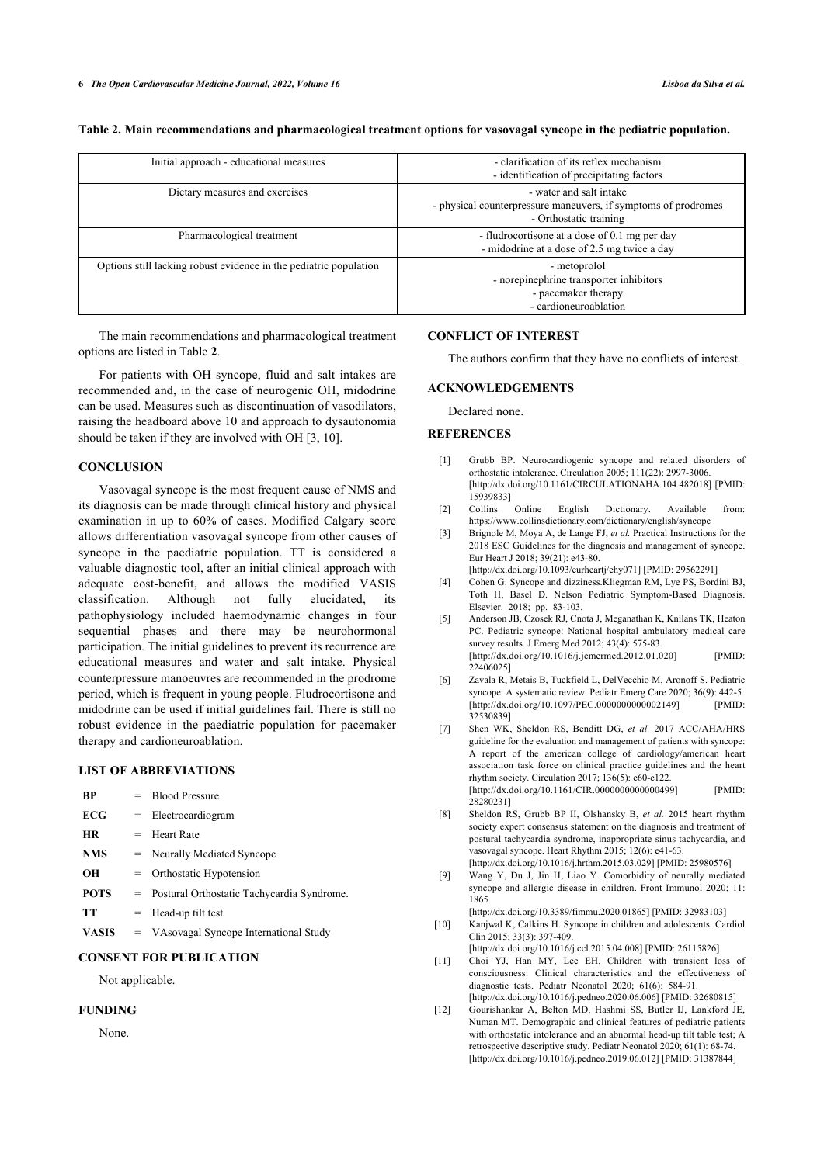| Initial approach - educational measures                           | - clarification of its reflex mechanism<br>- identification of precipitating factors                                |
|-------------------------------------------------------------------|---------------------------------------------------------------------------------------------------------------------|
| Dietary measures and exercises                                    | - water and salt intake<br>- physical counterpressure maneuvers, if symptoms of prodromes<br>- Orthostatic training |
| Pharmacological treatment                                         | - fludrocortisone at a dose of 0.1 mg per day<br>- midodrine at a dose of 2.5 mg twice a day                        |
| Options still lacking robust evidence in the pediatric population | - metoprolol<br>- norepinephrine transporter inhibitors<br>- pacemaker therapy<br>- cardioneuroablation             |

**Table 2. Main recommendations and pharmacological treatment options for vasovagal syncope in the pediatric population.**

The main recommendations and pharmacological treatment options are listed in Table **[2](#page-4-0)**.

For patients with OH syncope, fluid and salt intakes are recommended and, in the case of neurogenic OH, midodrine can be used. Measures such as discontinuation of vasodilators, raising the headboard above 10 and approach to dysautonomia should be taken if they are involved with OH [\[3,](#page-5-2) [10](#page-5-9)].

#### <span id="page-5-0"></span>**CONCLUSION**

<span id="page-5-4"></span><span id="page-5-3"></span><span id="page-5-2"></span><span id="page-5-1"></span>Vasovagal syncope is the most frequent cause of NMS and its diagnosis can be made through clinical history and physical examination in up to 60% of cases. Modified Calgary score allows differentiation vasovagal syncope from other causes of syncope in the paediatric population. TT is considered a valuable diagnostic tool, after an initial clinical approach with adequate cost-benefit, and allows the modified VASIS classification. Although not fully elucidated, its pathophysiology included haemodynamic changes in four sequential phases and there may be neurohormonal participation. The initial guidelines to prevent its recurrence are educational measures and water and salt intake. Physical counterpressure manoeuvres are recommended in the prodrome period, which is frequent in young people. Fludrocortisone and midodrine can be used if initial guidelines fail. There is still no robust evidence in the paediatric population for pacemaker therapy and cardioneuroablation.

#### <span id="page-5-6"></span><span id="page-5-5"></span>**LIST OF ABBREVIATIONS**

<span id="page-5-8"></span><span id="page-5-7"></span>

| BP           | $=$ | <b>Blood Pressure</b>                        |
|--------------|-----|----------------------------------------------|
| <b>ECG</b>   |     | $=$ Electrocardiogram                        |
| HR           |     | $=$ Heart Rate                               |
| <b>NMS</b>   |     | = Neurally Mediated Syncope                  |
| OН           |     | $=$ Orthostatic Hypotension                  |
| <b>POTS</b>  |     | = Postural Orthostatic Tachycardia Syndrome. |
| TТ           |     | $=$ Head-up tilt test                        |
| <b>VASIS</b> |     | = VAsovagal Syncope International Study      |

### <span id="page-5-10"></span><span id="page-5-9"></span>**CONSENT FOR PUBLICATION**

Not applicable.

#### <span id="page-5-11"></span>**FUNDING**

None.

### **CONFLICT OF INTEREST**

The authors confirm that they have no conflicts of interest.

# **ACKNOWLEDGEMENTS**

Declared none.

#### **REFERENCES**

- [1] Grubb BP. Neurocardiogenic syncope and related disorders of orthostatic intolerance. Circulation 2005; 111(22): 2997-3006. [\[http://dx.doi.org/10.1161/CIRCULATIONAHA.104.482018\]](http://dx.doi.org/10.1161/CIRCULATIONAHA.104.482018) [PMID: [15939833\]](http://www.ncbi.nlm.nih.gov/pubmed/15939833)<br>Collins Online
- [2] Collins Online English Dictionary. Available from: <https://www.collinsdictionary.com/dictionary/english/syncope>
- [3] Brignole M, Moya A, de Lange FJ, *et al.* Practical Instructions for the 2018 ESC Guidelines for the diagnosis and management of syncope. Eur Heart J 2018; 39(21): e43-80. [\[http://dx.doi.org/10.1093/eurheartj/ehy071\]](http://dx.doi.org/10.1093/eurheartj/ehy071) [PMID: [29562291](http://www.ncbi.nlm.nih.gov/pubmed/29562291)]
- [4] Cohen G. Syncope and dizziness.Kliegman RM, Lye PS, Bordini BJ, Toth H, Basel D. Nelson Pediatric Symptom-Based Diagnosis.
- Elsevier. 2018; pp. 83-103. [5] Anderson JB, Czosek RJ, Cnota J, Meganathan K, Knilans TK, Heaton PC. Pediatric syncope: National hospital ambulatory medical care survey results. J Emerg Med 2012; 43(4): 575-83. [\[http://dx.doi.org/10.1016/j.jemermed.2012.01.020\]](http://dx.doi.org/10.1016/j.jemermed.2012.01.020) [PMID: [22406025\]](http://www.ncbi.nlm.nih.gov/pubmed/22406025)
- [6] Zavala R, Metais B, Tuckfield L, DelVecchio M, Aronoff S. Pediatric syncope: A systematic review. Pediatr Emerg Care 2020; 36(9): 442-5. [\[http://dx.doi.org/10.1097/PEC.0000000000002149\]](http://dx.doi.org/10.1097/PEC.0000000000002149) [PMID: [32530839\]](http://www.ncbi.nlm.nih.gov/pubmed/32530839)
- [7] Shen WK, Sheldon RS, Benditt DG, *et al.* 2017 ACC/AHA/HRS guideline for the evaluation and management of patients with syncope: A report of the american college of cardiology/american heart association task force on clinical practice guidelines and the heart rhythm society. Circulation 2017; 136(5): e60-e122. [\[http://dx.doi.org/10.1161/CIR.0000000000000499\]](http://dx.doi.org/10.1161/CIR.0000000000000499) [PMID: [28280231\]](http://www.ncbi.nlm.nih.gov/pubmed/28280231)
- [8] Sheldon RS, Grubb BP II, Olshansky B, *et al.* 2015 heart rhythm society expert consensus statement on the diagnosis and treatment of postural tachycardia syndrome, inappropriate sinus tachycardia, and vasovagal syncope. Heart Rhythm 2015; 12(6): e41-63. [\[http://dx.doi.org/10.1016/j.hrthm.2015.03.029\]](http://dx.doi.org/10.1016/j.hrthm.2015.03.029) [PMID: [25980576](http://www.ncbi.nlm.nih.gov/pubmed/25980576)]
- [9] Wang Y, Du J, Jin H, Liao Y. Comorbidity of neurally mediated syncope and allergic disease in children. Front Immunol 2020; 11: 1865.
- [\[http://dx.doi.org/10.3389/fimmu.2020.01865](http://dx.doi.org/10.3389/fimmu.2020.01865)] [PMID: [32983103\]](http://www.ncbi.nlm.nih.gov/pubmed/32983103) [10] Kanjwal K, Calkins H. Syncope in children and adolescents. Cardiol Clin 2015; 33(3): 397-409.
- [\[http://dx.doi.org/10.1016/j.ccl.2015.04.008](http://dx.doi.org/10.1016/j.ccl.2015.04.008)] [PMID: [26115826\]](http://www.ncbi.nlm.nih.gov/pubmed/26115826) [11] Choi YJ, Han MY, Lee EH. Children with transient loss of consciousness: Clinical characteristics and the effectiveness of diagnostic tests. Pediatr Neonatol 2020; 61(6): 584-91. [\[http://dx.doi.org/10.1016/j.pedneo.2020.06.006](http://dx.doi.org/10.1016/j.pedneo.2020.06.006)] [PMID: [32680815\]](http://www.ncbi.nlm.nih.gov/pubmed/32680815)
- [12] Gourishankar A, Belton MD, Hashmi SS, Butler IJ, Lankford JE, Numan MT. Demographic and clinical features of pediatric patients with orthostatic intolerance and an abnormal head-up tilt table test; A retrospective descriptive study. Pediatr Neonatol 2020; 61(1): 68-74. [\[http://dx.doi.org/10.1016/j.pedneo.2019.06.012](http://dx.doi.org/10.1016/j.pedneo.2019.06.012)] [PMID: [31387844\]](http://www.ncbi.nlm.nih.gov/pubmed/31387844)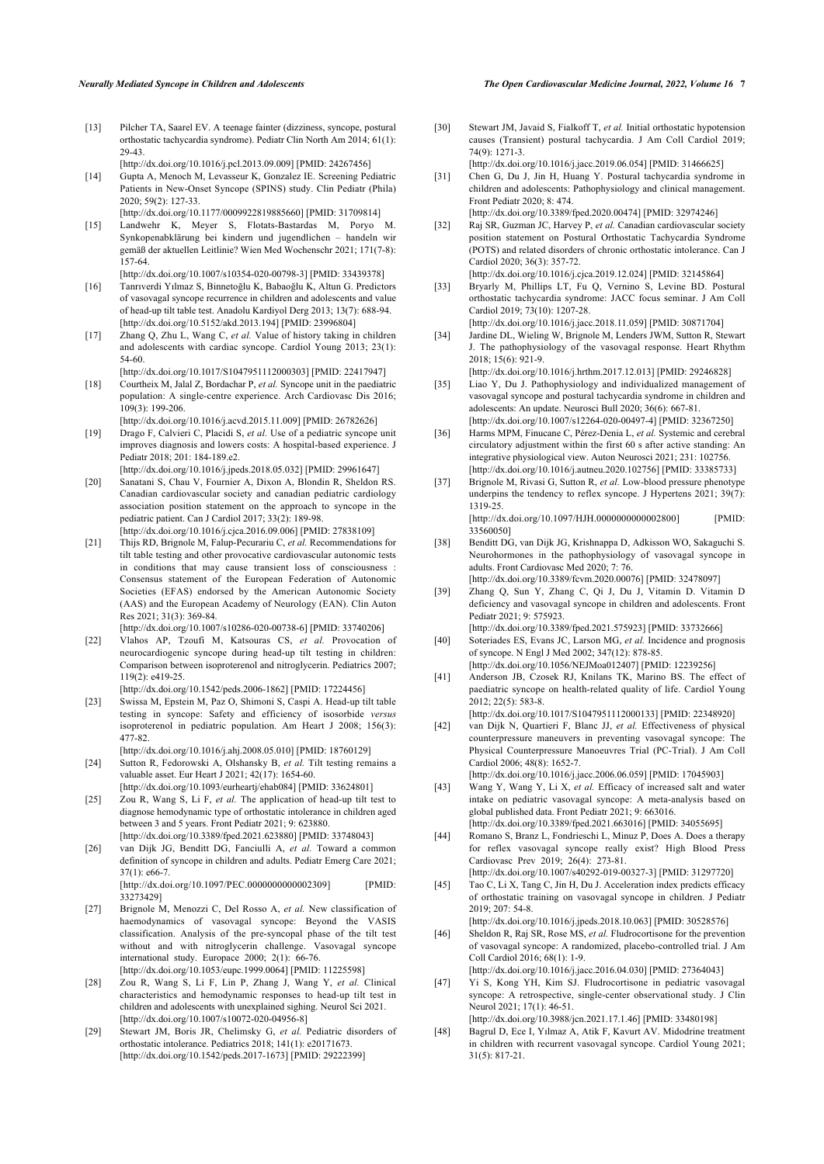- <span id="page-6-0"></span>[13] Pilcher TA, Saarel EV. A teenage fainter (dizziness, syncope, postural orthostatic tachycardia syndrome). Pediatr Clin North Am 2014; 61(1): 29-43.
- <span id="page-6-3"></span>[\[http://dx.doi.org/10.1016/j.pcl.2013.09.009](http://dx.doi.org/10.1016/j.pcl.2013.09.009)] [PMID: [24267456\]](http://www.ncbi.nlm.nih.gov/pubmed/24267456) [14] Gupta A, Menoch M, Levasseur K, Gonzalez IE. Screening Pediatric Patients in New-Onset Syncope (SPINS) study. Clin Pediatr (Phila) 2020; 59(2): 127-33.
	- [\[http://dx.doi.org/10.1177/0009922819885660](http://dx.doi.org/10.1177/0009922819885660)] [PMID: [31709814\]](http://www.ncbi.nlm.nih.gov/pubmed/31709814)
- <span id="page-6-1"></span>[15] Landwehr K, Meyer S, Flotats-Bastardas M, Poryo M. Synkopenabklärung bei kindern und jugendlichen – handeln wir gemäß der aktuellen Leitlinie? Wien Med Wochenschr 2021; 171(7-8): 157-64.
- <span id="page-6-2"></span>[\[http://dx.doi.org/10.1007/s10354-020-00798-3\]](http://dx.doi.org/10.1007/s10354-020-00798-3) [PMID: [33439378](http://www.ncbi.nlm.nih.gov/pubmed/33439378)] [16] Tanrıverdi Yılmaz S, Binnetoğlu K, Babaoğlu K, Altun G. Predictors of vasovagal syncope recurrence in children and adolescents and value of head-up tilt table test. Anadolu Kardiyol Derg 2013; 13(7): 688-94. [\[http://dx.doi.org/10.5152/akd.2013.194](http://dx.doi.org/10.5152/akd.2013.194)] [PMID: [23996804\]](http://www.ncbi.nlm.nih.gov/pubmed/23996804)
- <span id="page-6-4"></span>[17] Zhang Q, Zhu L, Wang C, *et al.* Value of history taking in children and adolescents with cardiac syncope. Cardiol Young 2013; 23(1): 54-60.
- <span id="page-6-5"></span>[\[http://dx.doi.org/10.1017/S1047951112000303](http://dx.doi.org/10.1017/S1047951112000303)] [PMID: [22417947\]](http://www.ncbi.nlm.nih.gov/pubmed/22417947) [18] Courtheix M, Jalal Z, Bordachar P, *et al.* Syncope unit in the paediatric population: A single-centre experience. Arch Cardiovasc Dis 2016;
- $109(3)$ : 199-206. [\[http://dx.doi.org/10.1016/j.acvd.2015.11.009\]](http://dx.doi.org/10.1016/j.acvd.2015.11.009) [PMID: [26782626](http://www.ncbi.nlm.nih.gov/pubmed/26782626)]
- <span id="page-6-6"></span>[19] Drago F, Calvieri C, Placidi S, *et al.* Use of a pediatric syncope unit improves diagnosis and lowers costs: A hospital-based experience. J Pediatr 2018; 201: 184-189.e2.
- <span id="page-6-7"></span>[\[http://dx.doi.org/10.1016/j.jpeds.2018.05.032](http://dx.doi.org/10.1016/j.jpeds.2018.05.032)] [PMID: [29961647](http://www.ncbi.nlm.nih.gov/pubmed/29961647)] [20] Sanatani S, Chau V, Fournier A, Dixon A, Blondin R, Sheldon RS. Canadian cardiovascular society and canadian pediatric cardiology association position statement on the approach to syncope in the pediatric patient. Can J Cardiol 2017; 33(2): 189-98. [\[http://dx.doi.org/10.1016/j.cjca.2016.09.006\]](http://dx.doi.org/10.1016/j.cjca.2016.09.006) [PMID: [27838109](http://www.ncbi.nlm.nih.gov/pubmed/27838109)]
- <span id="page-6-8"></span>[21] Thijs RD, Brignole M, Falup-Pecurariu C, *et al.* Recommendations for tilt table testing and other provocative cardiovascular autonomic tests in conditions that may cause transient loss of consciousness Consensus statement of the European Federation of Autonomic Societies (EFAS) endorsed by the American Autonomic Society (AAS) and the European Academy of Neurology (EAN). Clin Auton Res 2021; 31(3): 369-84.
	- [\[http://dx.doi.org/10.1007/s10286-020-00738-6\]](http://dx.doi.org/10.1007/s10286-020-00738-6) [PMID: [33740206](http://www.ncbi.nlm.nih.gov/pubmed/33740206)]
- <span id="page-6-17"></span><span id="page-6-9"></span>[22] Vlahos AP, Tzoufi M, Katsouras CS, *et al.* Provocation of neurocardiogenic syncope during head-up tilt testing in children: Comparison between isoproterenol and nitroglycerin. Pediatrics 2007; 119(2): e419-25. [\[http://dx.doi.org/10.1542/peds.2006-1862](http://dx.doi.org/10.1542/peds.2006-1862)] [PMID: [17224456\]](http://www.ncbi.nlm.nih.gov/pubmed/17224456)
- <span id="page-6-18"></span><span id="page-6-10"></span>[23] Swissa M, Epstein M, Paz O, Shimoni S, Caspi A. Head-up tilt table testing in syncope: Safety and efficiency of isosorbide *versus* isoproterenol in pediatric population. Am Heart J 2008; 156(3): 477-82.
- <span id="page-6-19"></span><span id="page-6-11"></span>[\[http://dx.doi.org/10.1016/j.ahj.2008.05.010](http://dx.doi.org/10.1016/j.ahj.2008.05.010)] [PMID: [18760129\]](http://www.ncbi.nlm.nih.gov/pubmed/18760129) [24] Sutton R, Fedorowski A, Olshansky B, *et al.* Tilt testing remains a valuable asset. Eur Heart J 2021; 42(17): 1654-60.
- <span id="page-6-20"></span><span id="page-6-12"></span>[\[http://dx.doi.org/10.1093/eurheartj/ehab084\]](http://dx.doi.org/10.1093/eurheartj/ehab084) [PMID: [33624801](http://www.ncbi.nlm.nih.gov/pubmed/33624801)] [25] Zou R, Wang S, Li F, *et al.* The application of head-up tilt test to diagnose hemodynamic type of orthostatic intolerance in children aged between 3 and 5 years. Front Pediatr 2021; 9: 623880. [\[http://dx.doi.org/10.3389/fped.2021.623880](http://dx.doi.org/10.3389/fped.2021.623880)] [PMID: [33748043\]](http://www.ncbi.nlm.nih.gov/pubmed/33748043)
- <span id="page-6-21"></span><span id="page-6-13"></span>[26] van Dijk JG, Benditt DG, Fanciulli A, *et al.* Toward a common definition of syncope in children and adults. Pediatr Emerg Care 2021; 37(1): e66-7.
	- [\[http://dx.doi.org/10.1097/PEC.0000000000002309](http://dx.doi.org/10.1097/PEC.0000000000002309)] [PMID: [33273429\]](http://www.ncbi.nlm.nih.gov/pubmed/33273429)
- <span id="page-6-23"></span><span id="page-6-22"></span><span id="page-6-14"></span>[27] Brignole M, Menozzi C, Del Rosso A, *et al.* New classification of haemodynamics of vasovagal syncope: Beyond the VASIS classification. Analysis of the pre-syncopal phase of the tilt test without and with nitroglycerin challenge. Vasovagal syncope international study. Europace 2000; 2(1): 66-76. [\[http://dx.doi.org/10.1053/eupc.1999.0064\]](http://dx.doi.org/10.1053/eupc.1999.0064) [PMID: [11225598](http://www.ncbi.nlm.nih.gov/pubmed/11225598)]
- <span id="page-6-15"></span>[28] Zou R, Wang S, Li F, Lin P, Zhang J, Wang Y, *et al.* Clinical characteristics and hemodynamic responses to head-up tilt test in children and adolescents with unexplained sighing. Neurol Sci 2021. [\[http://dx.doi.org/10.1007/s10072-020-04956-8\]](http://dx.doi.org/10.1007/s10072-020-04956-8)
- <span id="page-6-16"></span>[29] Stewart JM, Boris JR, Chelimsky G, *et al.* Pediatric disorders of orthostatic intolerance. Pediatrics 2018; 141(1): e20171673. [\[http://dx.doi.org/10.1542/peds.2017-1673](http://dx.doi.org/10.1542/peds.2017-1673)] [PMID: [29222399\]](http://www.ncbi.nlm.nih.gov/pubmed/29222399)
- [30] Stewart JM, Javaid S, Fialkoff T, *et al.* Initial orthostatic hypotension causes (Transient) postural tachycardia. J Am Coll Cardiol 2019; 74(9): 1271-3.
- [\[http://dx.doi.org/10.1016/j.jacc.2019.06.054](http://dx.doi.org/10.1016/j.jacc.2019.06.054)] [PMID: [31466625\]](http://www.ncbi.nlm.nih.gov/pubmed/31466625)
- [31] Chen G, Du J, Jin H, Huang Y. Postural tachycardia syndrome in children and adolescents: Pathophysiology and clinical management. Front Pediatr 2020; 8: 474.
- [\[http://dx.doi.org/10.3389/fped.2020.00474\]](http://dx.doi.org/10.3389/fped.2020.00474) [PMID: [32974246\]](http://www.ncbi.nlm.nih.gov/pubmed/32974246) [32] Raj SR, Guzman JC, Harvey P, *et al.* Canadian cardiovascular society position statement on Postural Orthostatic Tachycardia Syndrome (POTS) and related disorders of chronic orthostatic intolerance. Can J Cardiol 2020; 36(3): 357-72.
- [\[http://dx.doi.org/10.1016/j.cjca.2019.12.024](http://dx.doi.org/10.1016/j.cjca.2019.12.024)] [PMID: [32145864\]](http://www.ncbi.nlm.nih.gov/pubmed/32145864)
- [33] Bryarly M, Phillips LT, Fu Q, Vernino S, Levine BD. Postural orthostatic tachycardia syndrome: JACC focus seminar. J Am Coll Cardiol 2019; 73(10): 1207-28. [\[http://dx.doi.org/10.1016/j.jacc.2018.11.059](http://dx.doi.org/10.1016/j.jacc.2018.11.059)] [PMID: [30871704\]](http://www.ncbi.nlm.nih.gov/pubmed/30871704)
- [34] Jardine DL, Wieling W, Brignole M, Lenders JWM, Sutton R, Stewart J. The pathophysiology of the vasovagal response. Heart Rhythm 2018; 15(6): 921-9.
	- [\[http://dx.doi.org/10.1016/j.hrthm.2017.12.013\]](http://dx.doi.org/10.1016/j.hrthm.2017.12.013) [PMID: [29246828](http://www.ncbi.nlm.nih.gov/pubmed/29246828)]
- [35] Liao Y, Du J. Pathophysiology and individualized management of vasovagal syncope and postural tachycardia syndrome in children and adolescents: An update. Neurosci Bull 2020; 36(6): 667-81. [\[http://dx.doi.org/10.1007/s12264-020-00497-4](http://dx.doi.org/10.1007/s12264-020-00497-4)] [PMID: [32367250\]](http://www.ncbi.nlm.nih.gov/pubmed/32367250)
- [36] Harms MPM, Finucane C, Pérez-Denia L, et al. Systemic and cerebral circulatory adjustment within the first 60 s after active standing: An integrative physiological view. Auton Neurosci 2021; 231: 102756. [\[http://dx.doi.org/10.1016/j.autneu.2020.102756](http://dx.doi.org/10.1016/j.autneu.2020.102756)] [PMID: [33385733\]](http://www.ncbi.nlm.nih.gov/pubmed/33385733)
- [37] Brignole M, Rivasi G, Sutton R, *et al.* Low-blood pressure phenotype underpins the tendency to reflex syncope. J Hypertens 2021; 39(7): 1319-25. [\[http://dx.doi.org/10.1097/HJH.0000000000002800\]](http://dx.doi.org/10.1097/HJH.0000000000002800) [PMID: [33560050\]](http://www.ncbi.nlm.nih.gov/pubmed/33560050)
- [38] Benditt DG, van Dijk JG, Krishnappa D, Adkisson WO, Sakaguchi S. Neurohormones in the pathophysiology of vasovagal syncope in adults. Front Cardiovasc Med 2020; 7: 76. [\[http://dx.doi.org/10.3389/fcvm.2020.00076\]](http://dx.doi.org/10.3389/fcvm.2020.00076) [PMID: [32478097](http://www.ncbi.nlm.nih.gov/pubmed/32478097)]
- [39] Zhang Q, Sun Y, Zhang C, Qi J, Du J, Vitamin D. Vitamin D deficiency and vasovagal syncope in children and adolescents. Front Pediatr 2021; 9: 575923.
- [\[http://dx.doi.org/10.3389/fped.2021.575923](http://dx.doi.org/10.3389/fped.2021.575923)] [PMID: [33732666](http://www.ncbi.nlm.nih.gov/pubmed/33732666)] [40] Soteriades ES, Evans JC, Larson MG, *et al.* Incidence and prognosis of syncope. N Engl J Med 2002; 347(12): 878-85.
- [\[http://dx.doi.org/10.1056/NEJMoa012407](http://dx.doi.org/10.1056/NEJMoa012407)] [PMID: [12239256\]](http://www.ncbi.nlm.nih.gov/pubmed/12239256) [41] Anderson JB, Czosek RJ, Knilans TK, Marino BS. The effect of paediatric syncope on health-related quality of life. Cardiol Young 2012; 22(5): 583-8.
- [\[http://dx.doi.org/10.1017/S1047951112000133](http://dx.doi.org/10.1017/S1047951112000133)] [PMID: [22348920\]](http://www.ncbi.nlm.nih.gov/pubmed/22348920) [42] van Dijk N, Quartieri F, Blanc JJ, *et al.* Effectiveness of physical counterpressure maneuvers in preventing vasovagal syncope: The Physical Counterpressure Manoeuvres Trial (PC-Trial). J Am Coll Cardiol 2006; 48(8): 1652-7.

[\[http://dx.doi.org/10.1016/j.jacc.2006.06.059](http://dx.doi.org/10.1016/j.jacc.2006.06.059)] [PMID: [17045903\]](http://www.ncbi.nlm.nih.gov/pubmed/17045903)

- [43] Wang Y, Wang Y, Li X, et al. Efficacy of increased salt and water intake on pediatric vasovagal syncope: A meta-analysis based on global published data. Front Pediatr 2021; 9: 663016. [\[http://dx.doi.org/10.3389/fped.2021.663016](http://dx.doi.org/10.3389/fped.2021.663016)] [PMID: [34055695](http://www.ncbi.nlm.nih.gov/pubmed/34055695)]
- [44] Romano S, Branz L, Fondrieschi L, Minuz P, Does A. Does a therapy for reflex vasovagal syncope really exist? High Blood Press Cardiovasc Prev 2019; 26(4): 273-81. [\[http://dx.doi.org/10.1007/s40292-019-00327-3](http://dx.doi.org/10.1007/s40292-019-00327-3)] [PMID: [31297720\]](http://www.ncbi.nlm.nih.gov/pubmed/31297720)
- [45] Tao C, Li X, Tang C, Jin H, Du J. Acceleration index predicts efficacy of orthostatic training on vasovagal syncope in children. J Pediatr 2019; 207: 54-8.
- [\[http://dx.doi.org/10.1016/j.jpeds.2018.10.063\]](http://dx.doi.org/10.1016/j.jpeds.2018.10.063) [PMID: [30528576](http://www.ncbi.nlm.nih.gov/pubmed/30528576)] [46] Sheldon R, Raj SR, Rose MS, *et al.* Fludrocortisone for the prevention of vasovagal syncope: A randomized, placebo-controlled trial. J Am Coll Cardiol 2016; 68(1): 1-9.
- [\[http://dx.doi.org/10.1016/j.jacc.2016.04.030](http://dx.doi.org/10.1016/j.jacc.2016.04.030)] [PMID: [27364043\]](http://www.ncbi.nlm.nih.gov/pubmed/27364043) [47] Yi S, Kong YH, Kim SJ. Fludrocortisone in pediatric vasovagal syncope: A retrospective, single-center observational study. J Clin Neurol 2021; 17(1): 46-51.
- [\[http://dx.doi.org/10.3988/jcn.2021.17.1.46\]](http://dx.doi.org/10.3988/jcn.2021.17.1.46) [PMID: [33480198](http://www.ncbi.nlm.nih.gov/pubmed/33480198)] [48] Bagrul D, Ece I, Yılmaz A, Atik F, Kavurt AV. Midodrine treatment in children with recurrent vasovagal syncope. Cardiol Young 2021; 31(5): 817-21.